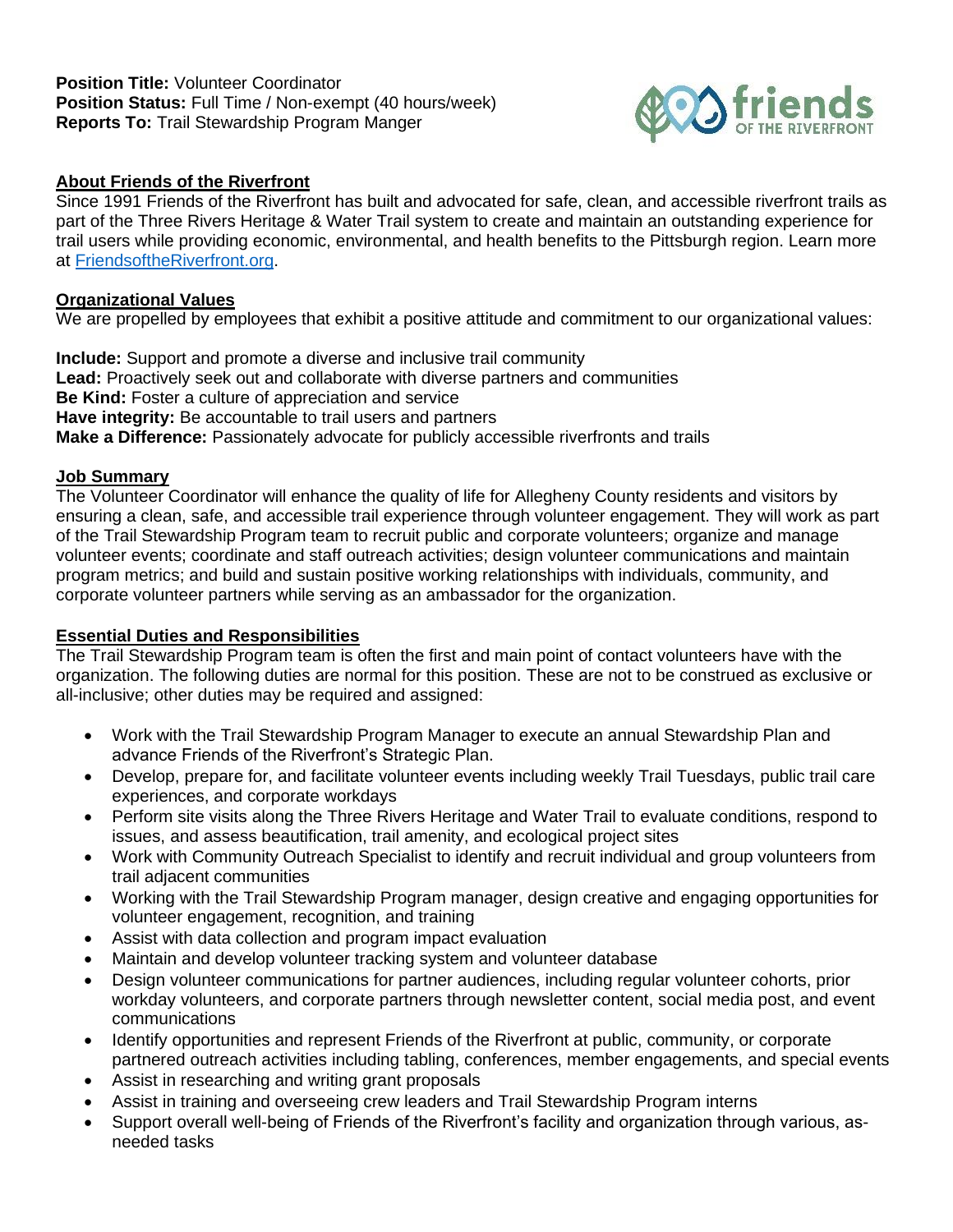

## **About Friends of the Riverfront**

Since 1991 Friends of the Riverfront has built and advocated for safe, clean, and accessible riverfront trails as part of the Three Rivers Heritage & Water Trail system to create and maintain an outstanding experience for trail users while providing economic, environmental, and health benefits to the Pittsburgh region. Learn more at [FriendsoftheRiverfront.org.](https://friendsoftheriverfront.org/)

## **Organizational Values**

We are propelled by employees that exhibit a positive attitude and commitment to our organizational values:

**Include:** Support and promote a diverse and inclusive trail community **Lead:** Proactively seek out and collaborate with diverse partners and communities **Be Kind:** Foster a culture of appreciation and service **Have integrity:** Be accountable to trail users and partners **Make a Difference:** Passionately advocate for publicly accessible riverfronts and trails

### **Job Summary**

The Volunteer Coordinator will enhance the quality of life for Allegheny County residents and visitors by ensuring a clean, safe, and accessible trail experience through volunteer engagement. They will work as part of the Trail Stewardship Program team to recruit public and corporate volunteers; organize and manage volunteer events; coordinate and staff outreach activities; design volunteer communications and maintain program metrics; and build and sustain positive working relationships with individuals, community, and corporate volunteer partners while serving as an ambassador for the organization.

### **Essential Duties and Responsibilities**

The Trail Stewardship Program team is often the first and main point of contact volunteers have with the organization. The following duties are normal for this position. These are not to be construed as exclusive or all-inclusive; other duties may be required and assigned:

- Work with the Trail Stewardship Program Manager to execute an annual Stewardship Plan and advance Friends of the Riverfront's Strategic Plan.
- Develop, prepare for, and facilitate volunteer events including weekly Trail Tuesdays, public trail care experiences, and corporate workdays
- Perform site visits along the Three Rivers Heritage and Water Trail to evaluate conditions, respond to issues, and assess beautification, trail amenity, and ecological project sites
- Work with Community Outreach Specialist to identify and recruit individual and group volunteers from trail adjacent communities
- Working with the Trail Stewardship Program manager, design creative and engaging opportunities for volunteer engagement, recognition, and training
- Assist with data collection and program impact evaluation
- Maintain and develop volunteer tracking system and volunteer database
- Design volunteer communications for partner audiences, including regular volunteer cohorts, prior workday volunteers, and corporate partners through newsletter content, social media post, and event communications
- Identify opportunities and represent Friends of the Riverfront at public, community, or corporate partnered outreach activities including tabling, conferences, member engagements, and special events
- Assist in researching and writing grant proposals
- Assist in training and overseeing crew leaders and Trail Stewardship Program interns
- Support overall well-being of Friends of the Riverfront's facility and organization through various, asneeded tasks